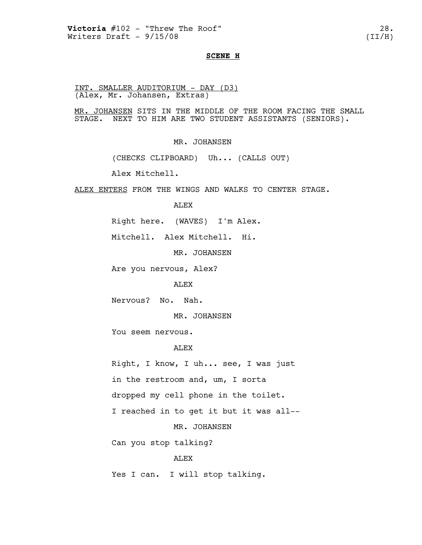#### **SCENE H**

INT. SMALLER AUDITORIUM - DAY (D3) (Alex, Mr. Johansen, Extras)

MR. JOHANSEN SITS IN THE MIDDLE OF THE ROOM FACING THE SMALL STAGE. NEXT TO HIM ARE TWO STUDENT ASSISTANTS (SENIORS).

MR. JOHANSEN

(CHECKS CLIPBOARD) Uh... (CALLS OUT)

Alex Mitchell.

ALEX ENTERS FROM THE WINGS AND WALKS TO CENTER STAGE.

ALEX

Right here. (WAVES) I'm Alex.

Mitchell. Alex Mitchell. Hi.

MR. JOHANSEN

Are you nervous, Alex?

ALEX

Nervous? No. Nah.

MR. JOHANSEN

You seem nervous.

### ALEX

Right, I know, I uh... see, I was just in the restroom and, um, I sorta dropped my cell phone in the toilet. I reached in to get it but it was all--

MR. JOHANSEN

Can you stop talking?

### ALEX

Yes I can. I will stop talking.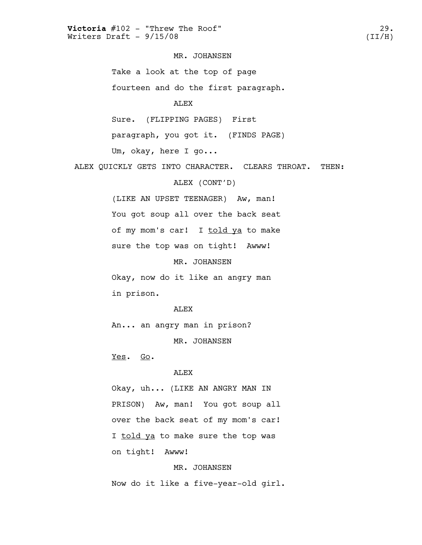## MR. JOHANSEN

Take a look at the top of page

fourteen and do the first paragraph.

#### ALEX

Sure. (FLIPPING PAGES) First

paragraph, you got it. (FINDS PAGE)

Um, okay, here I go...

ALEX QUICKLY GETS INTO CHARACTER. CLEARS THROAT. THEN:

# ALEX (CONT'D)

(LIKE AN UPSET TEENAGER) Aw, man! You got soup all over the back seat of my mom's car! I told ya to make sure the top was on tight! Awww!

MR. JOHANSEN

Okay, now do it like an angry man in prison.

#### ALEX

An... an angry man in prison?

MR. JOHANSEN

Yes. Go.

#### ALEX

Okay, uh... (LIKE AN ANGRY MAN IN PRISON) Aw, man! You got soup all over the back seat of my mom's car! I told ya to make sure the top was on tight! Awww!

## MR. JOHANSEN

Now do it like a five-year-old girl.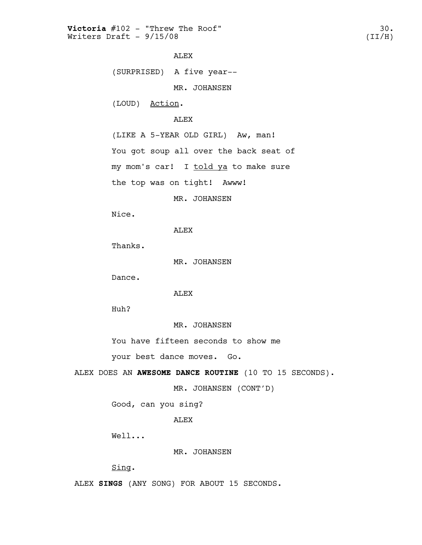```
ALEX
```
(SURPRISED) A five year--

MR. JOHANSEN

(LOUD) Action.

## ALEX

(LIKE A 5-YEAR OLD GIRL) Aw, man!

You got soup all over the back seat of

my mom's car! I told ya to make sure

the top was on tight! Awww!

MR. JOHANSEN

Nice.

ALEX

Thanks.

MR. JOHANSEN

Dance.

ALEX

Huh?

MR. JOHANSEN

You have fifteen seconds to show me

your best dance moves. Go.

ALEX DOES AN **AWESOME DANCE ROUTINE** (10 TO 15 SECONDS).

MR. JOHANSEN (CONT'D)

Good, can you sing?

ALEX

Well...

MR. JOHANSEN

Sing.

ALEX **SINGS** (ANY SONG) FOR ABOUT 15 SECONDS.